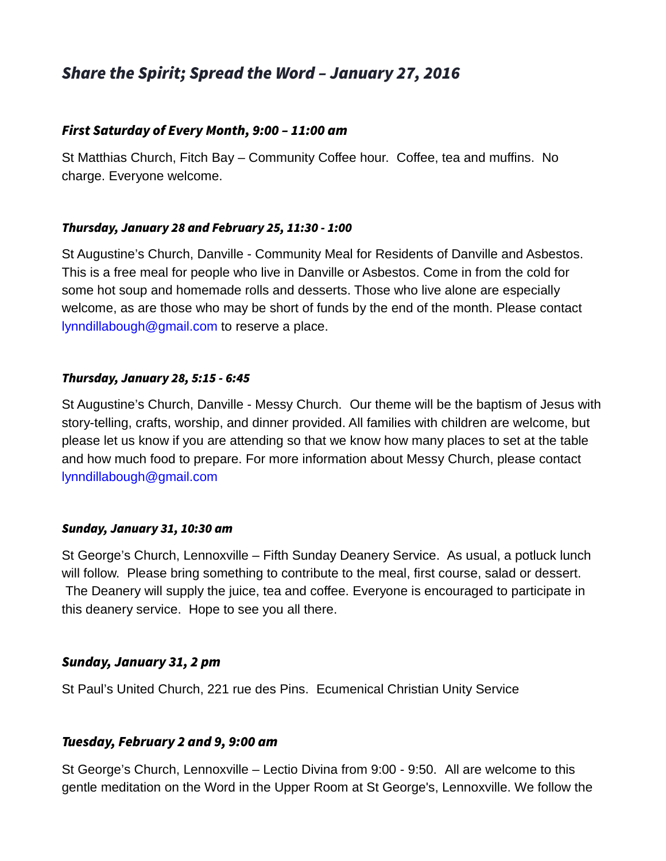# Share the Spirit; Spread the Word – January 27, 2016

# First Saturday of Every Month, 9:00 – 11:00 am

St Matthias Church, Fitch Bay – Community Coffee hour. Coffee, tea and muffins. No charge. Everyone welcome.

#### Thursday, January 28 and February 25, 11:30 - 1:00

St Augustine's Church, Danville - Community Meal for Residents of Danville and Asbestos. This is a free meal for people who live in Danville or Asbestos. Come in from the cold for some hot soup and homemade rolls and desserts. Those who live alone are especially welcome, as are those who may be short of funds by the end of the month. Please contact [lynndillabough@gmail.com](mailto:lynndillabough@gmail.com) to reserve a place.

#### Thursday, January 28, 5:15 - 6:45

St Augustine's Church, Danville - Messy Church. Our theme will be the baptism of Jesus with story-telling, crafts, worship, and dinner provided. All families with children are welcome, but please let us know if you are attending so that we know how many places to set at the table and how much food to prepare. For more information about Messy Church, please contact [lynndillabough@gmail.com](mailto:lynndillabough@gmail.com)

#### Sunday, January 31, 10:30 am

St George's Church, Lennoxville – Fifth Sunday Deanery Service. As usual, a potluck lunch will follow. Please bring something to contribute to the meal, first course, salad or dessert. The Deanery will supply the juice, tea and coffee. Everyone is encouraged to participate in this deanery service. Hope to see you all there.

## Sunday, January 31, 2 pm

St Paul's United Church, 221 rue des Pins. Ecumenical Christian Unity Service

## Tuesday, February 2 and 9, 9:00 am

St George's Church, Lennoxville – Lectio Divina from 9:00 - 9:50. All are welcome to this gentle meditation on the Word in the Upper Room at St George's, Lennoxville. We follow the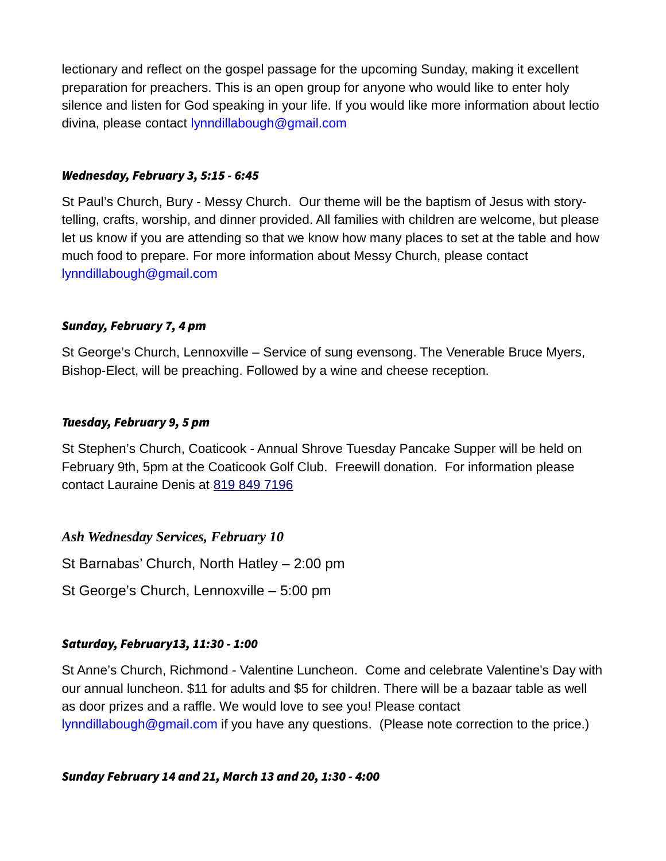lectionary and reflect on the gospel passage for the upcoming Sunday, making it excellent preparation for preachers. This is an open group for anyone who would like to enter holy silence and listen for God speaking in your life. If you would like more information about lectio divina, please contact [lynndillabough@gmail.com](mailto:lynndillabough@gmail.com)

#### Wednesday, February 3, 5:15 - 6:45

St Paul's Church, Bury - Messy Church. Our theme will be the baptism of Jesus with storytelling, crafts, worship, and dinner provided. All families with children are welcome, but please let us know if you are attending so that we know how many places to set at the table and how much food to prepare. For more information about Messy Church, please contact [lynndillabough@gmail.com](mailto:lynndillabough@gmail.com)

#### Sunday, February 7, 4 pm

St George's Church, Lennoxville – Service of sung evensong. The Venerable Bruce Myers, Bishop-Elect, will be preaching. Followed by a wine and cheese reception.

#### Tuesday, February 9, 5 pm

St Stephen's Church, Coaticook - Annual Shrove Tuesday Pancake Supper will be held on February 9th, 5pm at the Coaticook Golf Club. Freewill donation. For information please contact Lauraine Denis at [819 849 7196](tel:819%20849%207196)

## *Ash Wednesday Services, February 10*

St Barnabas' Church, North Hatley – 2:00 pm

St George's Church, Lennoxville – 5:00 pm

## Saturday, February13, 11:30 - 1:00

St Anne's Church, Richmond - Valentine Luncheon. Come and celebrate Valentine's Day with our annual luncheon. \$11 for adults and \$5 for children. There will be a bazaar table as well as door prizes and a raffle. We would love to see you! Please contact  $lynndillabough@gmail.com$  if you have any questions. (Please note correction to the price.)

Sunday February 14 and 21, March 13 and 20, 1:30 - 4:00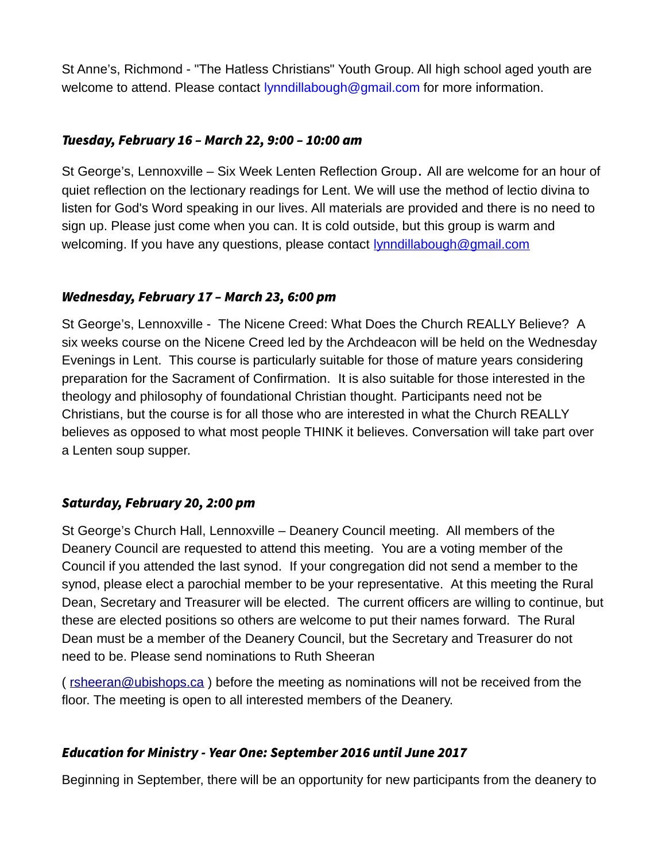St Anne's, Richmond - "The Hatless Christians" Youth Group. All high school aged youth are welcome to attend. Please contact [lynndillabough@gmail.com](mailto:lynndillabough@gmail.com) for more information.

# Tuesday, February 16 – March 22, 9:00 – 10:00 am

St George's, Lennoxville – Six Week Lenten Reflection Group. All are welcome for an hour of quiet reflection on the lectionary readings for Lent. We will use the method of lectio divina to listen for God's Word speaking in our lives. All materials are provided and there is no need to sign up. Please just come when you can. It is cold outside, but this group is warm and welcoming. If you have any questions, please contact **lynndillabough@gmail.com** 

## Wednesday, February 17 – March 23, 6:00 pm

St George's, Lennoxville - The Nicene Creed: What Does the Church REALLY Believe? A six weeks course on the Nicene Creed led by the Archdeacon will be held on the Wednesday Evenings in Lent. This course is particularly suitable for those of mature years considering preparation for the Sacrament of Confirmation. It is also suitable for those interested in the theology and philosophy of foundational Christian thought. Participants need not be Christians, but the course is for all those who are interested in what the Church REALLY believes as opposed to what most people THINK it believes. Conversation will take part over a Lenten soup supper.

# Saturday, February 20, 2:00 pm

St George's Church Hall, Lennoxville – Deanery Council meeting. All members of the Deanery Council are requested to attend this meeting. You are a voting member of the Council if you attended the last synod. If your congregation did not send a member to the synod, please elect a parochial member to be your representative. At this meeting the Rural Dean, Secretary and Treasurer will be elected. The current officers are willing to continue, but these are elected positions so others are welcome to put their names forward. The Rural Dean must be a member of the Deanery Council, but the Secretary and Treasurer do not need to be. Please send nominations to Ruth Sheeran

( [rsheeran@ubishops.ca](mailto:rsheeran@ubishops.ca) ) before the meeting as nominations will not be received from the floor. The meeting is open to all interested members of the Deanery.

# Education for Ministry - Year One: September 2016 until June 2017

Beginning in September, there will be an opportunity for new participants from the deanery to